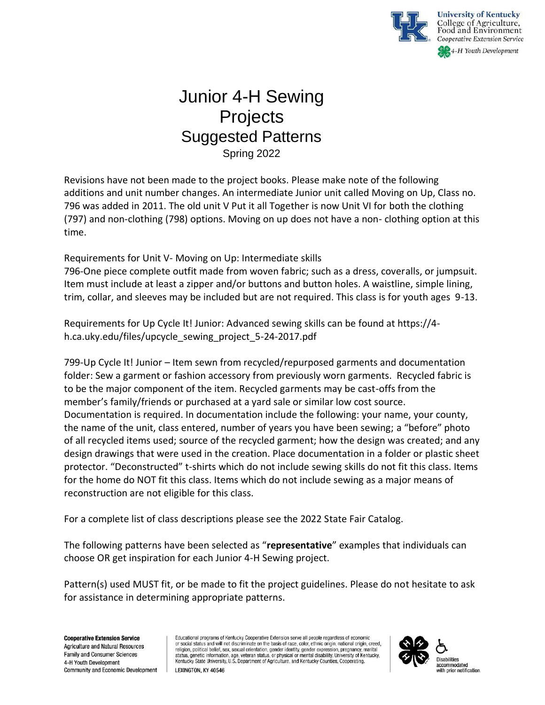

## Junior 4-H Sewing **Projects** Suggested Patterns Spring 2022

Revisions have not been made to the project books. Please make note of the following additions and unit number changes. An intermediate Junior unit called Moving on Up, Class no. 796 was added in 2011. The old unit V Put it all Together is now Unit VI for both the clothing (797) and non-clothing (798) options. Moving on up does not have a non- clothing option at this time.

Requirements for Unit V- Moving on Up: Intermediate skills

796-One piece complete outfit made from woven fabric; such as a dress, coveralls, or jumpsuit. Item must include at least a zipper and/or buttons and button holes. A waistline, simple lining, trim, collar, and sleeves may be included but are not required. This class is for youth ages 9-13.

Requirements for Up Cycle It! Junior: Advanced sewing skills can be found at https://4 h.ca.uky.edu/files/upcycle\_sewing\_project\_5-24-2017.pdf

799-Up Cycle It! Junior – Item sewn from recycled/repurposed garments and documentation folder: Sew a garment or fashion accessory from previously worn garments. Recycled fabric is to be the major component of the item. Recycled garments may be cast-offs from the member's family/friends or purchased at a yard sale or similar low cost source. Documentation is required. In documentation include the following: your name, your county, the name of the unit, class entered, number of years you have been sewing; a "before" photo of all recycled items used; source of the recycled garment; how the design was created; and any design drawings that were used in the creation. Place documentation in a folder or plastic sheet protector. "Deconstructed" t-shirts which do not include sewing skills do not fit this class. Items for the home do NOT fit this class. Items which do not include sewing as a major means of reconstruction are not eligible for this class.

For a complete list of class descriptions please see the 2022 State Fair Catalog.

The following patterns have been selected as "**representative**" examples that individuals can choose OR get inspiration for each Junior 4-H Sewing project.

Pattern(s) used MUST fit, or be made to fit the project guidelines. Please do not hesitate to ask for assistance in determining appropriate patterns.

**Cooperative Extension Service Agriculture and Natural Resources Family and Consumer Sciences** 4-H Youth Development Community and Economic Development Educational programs of Kentucky Cooperative Extension serve all people regardless of economic or social status and will not discriminate on the basis of race, color, ethnic origin, national origin, creed, or cool cauca or or more cool caucal orientation, gender identity, gender expression, pregnancy, martial<br>status, genetic information, age, veteran status, or physical or mental disability. University of Kentucky,<br>Kentucky



LEXINGTON, KY 40546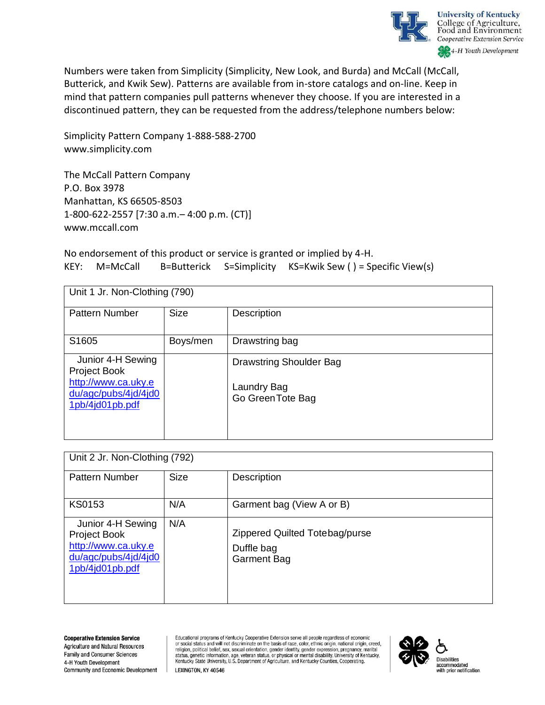

Numbers were taken from Simplicity (Simplicity, New Look, and Burda) and McCall (McCall, Butterick, and Kwik Sew). Patterns are available from in-store catalogs and on-line. Keep in mind that pattern companies pull patterns whenever they choose. If you are interested in a discontinued pattern, they can be requested from the address/telephone numbers below:

Simplicity Pattern Company 1-888-588-2700 www.simplicity.com

The McCall Pattern Company P.O. Box 3978 Manhattan, KS 66505-8503 1-800-622-2557 [7:30 a.m.– 4:00 p.m. (CT)] www.mccall.com

No endorsement of this product or service is granted or implied by 4-H. KEY: M=McCall B=Butterick S=Simplicity KS=Kwik Sew ( ) = Specific View(s)

| Unit 1 Jr. Non-Clothing (790) |                                  |  |
|-------------------------------|----------------------------------|--|
| <b>Size</b>                   | <b>Description</b>               |  |
| Boys/men                      | Drawstring bag                   |  |
|                               | <b>Drawstring Shoulder Bag</b>   |  |
|                               | Laundry Bag<br>Go Green Tote Bag |  |
|                               |                                  |  |

| Unit 2 Jr. Non-Clothing (792)                                                                       |             |                                                                    |
|-----------------------------------------------------------------------------------------------------|-------------|--------------------------------------------------------------------|
| <b>Pattern Number</b>                                                                               | <b>Size</b> | Description                                                        |
| <b>KS0153</b>                                                                                       | N/A         | Garment bag (View A or B)                                          |
| Junior 4-H Sewing<br>Project Book<br>http://www.ca.uky.e<br>du/agc/pubs/4jd/4jd0<br>1pb/4jd01pb.pdf | N/A         | Zippered Quilted Totebag/purse<br>Duffle bag<br><b>Garment Bag</b> |

**Cooperative Extension Service Agriculture and Natural Resources Family and Consumer Sciences** 4-H Youth Development Community and Economic Development

Educational programs of Kentucky Cooperative Extension serve all people regardless of economic or social status and will not discriminate on the basis of race, color, ethnic origin, national origin, creed, or social status and will not enscriminate on the basis of race, color, etimic origin, national origin, creedo<br>religion, political belief, sex, sexual orientation, gender identity, gender expression, pregnancy, marital<br>sta



LEXINGTON, KY 40546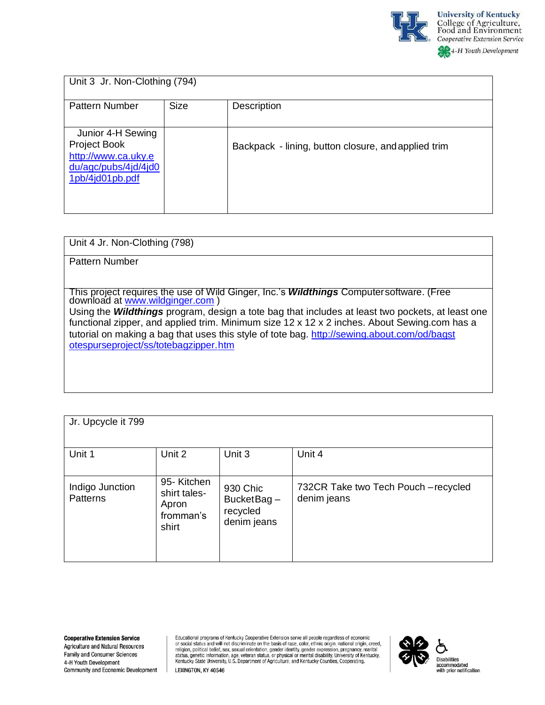

| Unit 3 Jr. Non-Clothing (794)                                                                              |             |                                                     |
|------------------------------------------------------------------------------------------------------------|-------------|-----------------------------------------------------|
| <b>Pattern Number</b>                                                                                      | <b>Size</b> | Description                                         |
| Junior 4-H Sewing<br><b>Project Book</b><br>http://www.ca.uky.e<br>du/agc/pubs/4jd/4jd0<br>1pb/4jd01pb.pdf |             | Backpack - lining, button closure, and applied trim |

Unit 4 Jr. Non-Clothing (798)

Pattern Number

This project requires the use of Wild Ginger, Inc.'s *Wildthings* Computersoftware. (Free download at [www.wildginger.com](http://www.wildginger.com/) )

Using the *Wildthings* program, design a tote bag that includes at least two pockets, at least one functional zipper, and applied trim. Minimum size 12 x 12 x 2 inches. About Sewing.com has a tutorial on making a bag that uses this style of tote bag. [http://sewing.about.com/od/bagst](http://sewing.about.com/od/bagstotespurseproject/ss/totebagzipper.htm) [otespurseproject/ss/totebagzipper.htm](http://sewing.about.com/od/bagstotespurseproject/ss/totebagzipper.htm)

| Jr. Upcycle it 799                 |                                                           |                                                   |                                                     |
|------------------------------------|-----------------------------------------------------------|---------------------------------------------------|-----------------------------------------------------|
| Unit 1                             | Unit 2                                                    | Unit 3                                            | Unit 4                                              |
| Indigo Junction<br><b>Patterns</b> | 95-Kitchen<br>shirt tales-<br>Apron<br>fromman's<br>shirt | 930 Chic<br>BucketBag-<br>recycled<br>denim jeans | 732CR Take two Tech Pouch - recycled<br>denim jeans |

Educational programs of Kentucky Cooperative Extension serve all people regardless of economic cudential states and will not discriminate on the basis of race, color, ethnic origin, national origin, rered, or social status and will not discriminate on the basis of race, color, ethnic origin, national origin, rered,



LEXINGTON, KY 40546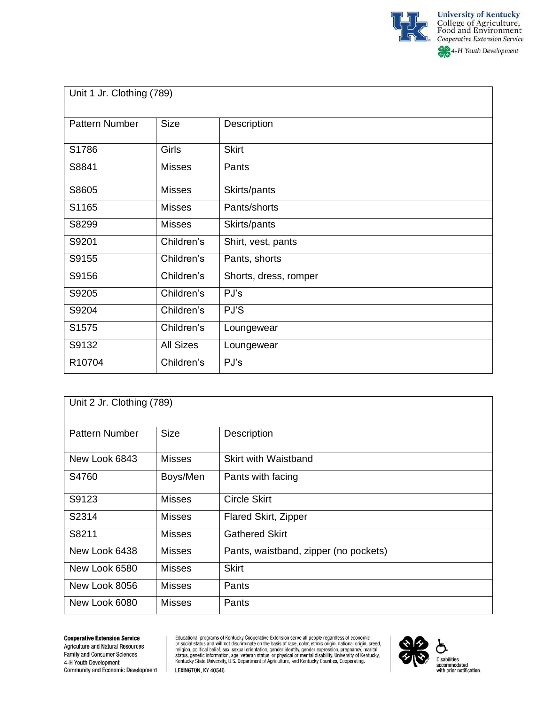

| Unit 1 Jr. Clothing (789) |                  |                       |
|---------------------------|------------------|-----------------------|
| Pattern Number            | <b>Size</b>      | Description           |
| S1786                     | <b>Girls</b>     | <b>Skirt</b>          |
| S8841                     | <b>Misses</b>    | Pants                 |
| S8605                     | <b>Misses</b>    | Skirts/pants          |
| S1165                     | <b>Misses</b>    | Pants/shorts          |
| S8299                     | <b>Misses</b>    | Skirts/pants          |
| S9201                     | Children's       | Shirt, vest, pants    |
| S9155                     | Children's       | Pants, shorts         |
| S9156                     | Children's       | Shorts, dress, romper |
| S9205                     | Children's       | PJ's                  |
| S9204                     | Children's       | PJ'S                  |
| S1575                     | Children's       | Loungewear            |
| S9132                     | <b>All Sizes</b> | Loungewear            |
| R10704                    | Children's       | PJ's                  |

| Unit 2 Jr. Clothing (789) |               |                                       |
|---------------------------|---------------|---------------------------------------|
| <b>Pattern Number</b>     | <b>Size</b>   | Description                           |
| New Look 6843             | <b>Misses</b> | <b>Skirt with Waistband</b>           |
| S4760                     | Boys/Men      | Pants with facing                     |
| S9123                     | <b>Misses</b> | <b>Circle Skirt</b>                   |
| S2314                     | <b>Misses</b> | Flared Skirt, Zipper                  |
| S8211                     | <b>Misses</b> | <b>Gathered Skirt</b>                 |
| New Look 6438             | <b>Misses</b> | Pants, waistband, zipper (no pockets) |
| New Look 6580             | <b>Misses</b> | <b>Skirt</b>                          |
| New Look 8056             | <b>Misses</b> | Pants                                 |
| New Look 6080             | <b>Misses</b> | Pants                                 |

## **Cooperative Extension Service**

**Agriculture and Natural Resources** Family and Consumer Sciences 4-H Youth Development Community and Economic Development Educational programs of Kentucky Cooperative Extension serve all people regardless of economic<br>or social status and will not discriminate on the basis of race, color, ethnic origin, national origin, creed,<br>religion, politi LEXINGTON, KY 40546

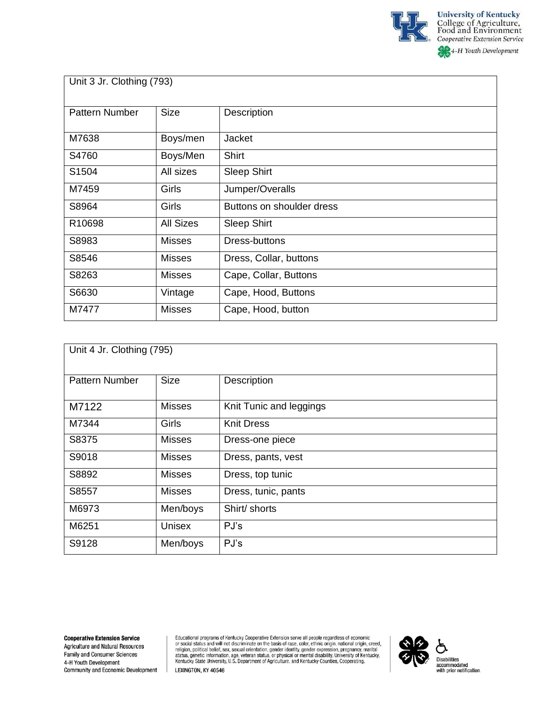

4-H Youth Development

| Unit 3 Jr. Clothing (793) |  |  |
|---------------------------|--|--|
|---------------------------|--|--|

| <b>Pattern Number</b> | <b>Size</b>      | Description               |
|-----------------------|------------------|---------------------------|
| M7638                 | Boys/men         | Jacket                    |
| S4760                 | Boys/Men         | <b>Shirt</b>              |
| S1504                 | All sizes        | <b>Sleep Shirt</b>        |
| M7459                 | Girls            | Jumper/Overalls           |
| S8964                 | Girls            | Buttons on shoulder dress |
| R10698                | <b>All Sizes</b> | <b>Sleep Shirt</b>        |
| S8983                 | <b>Misses</b>    | Dress-buttons             |
| S8546                 | <b>Misses</b>    | Dress, Collar, buttons    |
| S8263                 | <b>Misses</b>    | Cape, Collar, Buttons     |
| S6630                 | Vintage          | Cape, Hood, Buttons       |
| M7477                 | <b>Misses</b>    | Cape, Hood, button        |

| Unit 4 Jr. Clothing (795) |               |                         |
|---------------------------|---------------|-------------------------|
| <b>Pattern Number</b>     | <b>Size</b>   | Description             |
| M7122                     | <b>Misses</b> | Knit Tunic and leggings |
| M7344                     | Girls         | <b>Knit Dress</b>       |
| S8375                     | <b>Misses</b> | Dress-one piece         |
| S9018                     | <b>Misses</b> | Dress, pants, vest      |
| S8892                     | <b>Misses</b> | Dress, top tunic        |
| S8557                     | <b>Misses</b> | Dress, tunic, pants     |
| M6973                     | Men/boys      | Shirt/ shorts           |
| M6251                     | <b>Unisex</b> | PJ's                    |
| S9128                     | Men/boys      | PJ's                    |

Educational programs of Kentucky Cooperative Extension serve all people regardless of economic<br>or social status and will not discriminate on the basis of race, color, ethnic origin, national origin, creed,<br>religion, politi